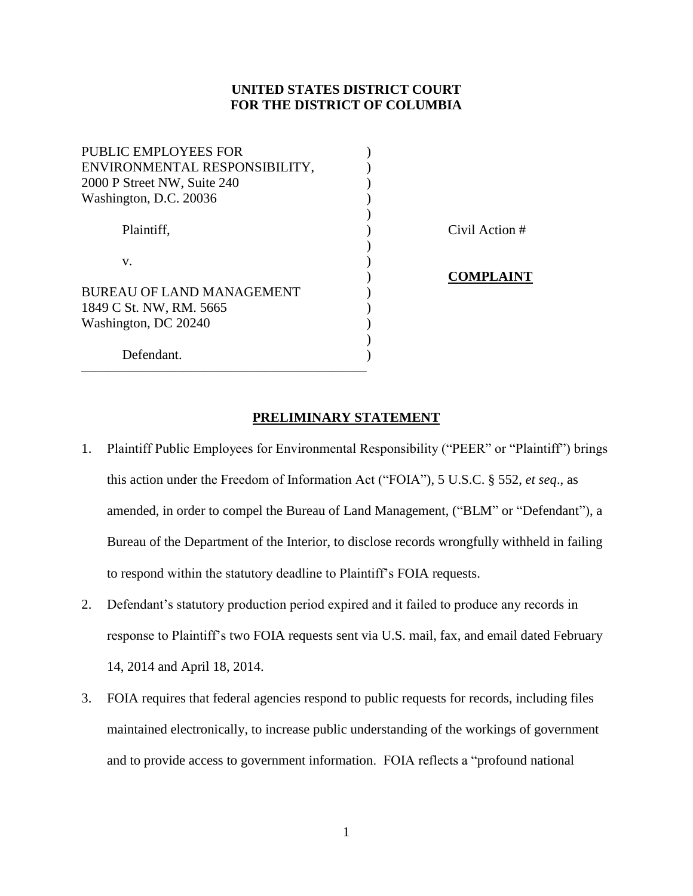# **UNITED STATES DISTRICT COURT FOR THE DISTRICT OF COLUMBIA**

| PUBLIC EMPLOYEES FOR             |  |
|----------------------------------|--|
| ENVIRONMENTAL RESPONSIBILITY,    |  |
| 2000 P Street NW, Suite 240      |  |
| Washington, D.C. 20036           |  |
|                                  |  |
| Plaintiff,                       |  |
|                                  |  |
| V.                               |  |
|                                  |  |
| <b>BUREAU OF LAND MANAGEMENT</b> |  |
| 1849 C St. NW, RM. 5665          |  |
| Washington, DC 20240             |  |
|                                  |  |
| Defendant.                       |  |
|                                  |  |

Civil Action #

# ) **COMPLAINT**

## **PRELIMINARY STATEMENT**

- 1. Plaintiff Public Employees for Environmental Responsibility ("PEER" or "Plaintiff") brings this action under the Freedom of Information Act ("FOIA"), 5 U.S.C. § 552, *et seq*., as amended, in order to compel the Bureau of Land Management, ("BLM" or "Defendant"), a Bureau of the Department of the Interior, to disclose records wrongfully withheld in failing to respond within the statutory deadline to Plaintiff's FOIA requests.
- 2. Defendant's statutory production period expired and it failed to produce any records in response to Plaintiff's two FOIA requests sent via U.S. mail, fax, and email dated February 14, 2014 and April 18, 2014.
- 3. FOIA requires that federal agencies respond to public requests for records, including files maintained electronically, to increase public understanding of the workings of government and to provide access to government information. FOIA reflects a "profound national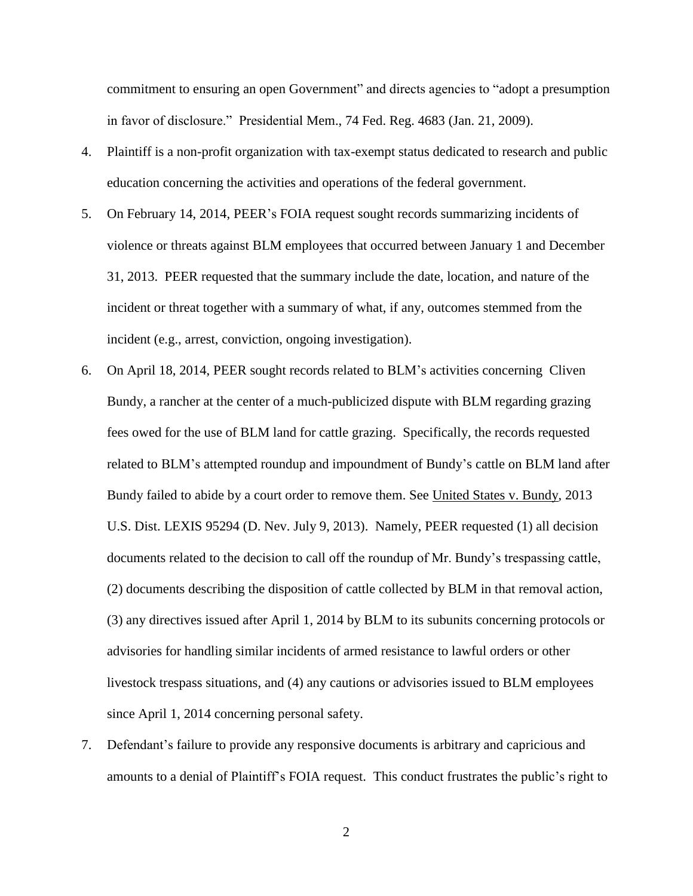commitment to ensuring an open Government" and directs agencies to "adopt a presumption in favor of disclosure." Presidential Mem., 74 Fed. Reg. 4683 (Jan. 21, 2009).

- 4. Plaintiff is a non-profit organization with tax-exempt status dedicated to research and public education concerning the activities and operations of the federal government.
- 5. On February 14, 2014, PEER's FOIA request sought records summarizing incidents of violence or threats against BLM employees that occurred between January 1 and December 31, 2013. PEER requested that the summary include the date, location, and nature of the incident or threat together with a summary of what, if any, outcomes stemmed from the incident (e.g., arrest, conviction, ongoing investigation).
- 6. On April 18, 2014, PEER sought records related to BLM's activities concerning Cliven Bundy, a rancher at the center of a much-publicized dispute with BLM regarding grazing fees owed for the use of BLM land for cattle grazing. Specifically, the records requested related to BLM's attempted roundup and impoundment of Bundy's cattle on BLM land after Bundy failed to abide by a court order to remove them. See United States v. Bundy, 2013 U.S. Dist. LEXIS 95294 (D. Nev. July 9, 2013). Namely, PEER requested (1) all decision documents related to the decision to call off the roundup of Mr. Bundy's trespassing cattle, (2) documents describing the disposition of cattle collected by BLM in that removal action, (3) any directives issued after April 1, 2014 by BLM to its subunits concerning protocols or advisories for handling similar incidents of armed resistance to lawful orders or other livestock trespass situations, and (4) any cautions or advisories issued to BLM employees since April 1, 2014 concerning personal safety.
- 7. Defendant's failure to provide any responsive documents is arbitrary and capricious and amounts to a denial of Plaintiff's FOIA request. This conduct frustrates the public's right to

2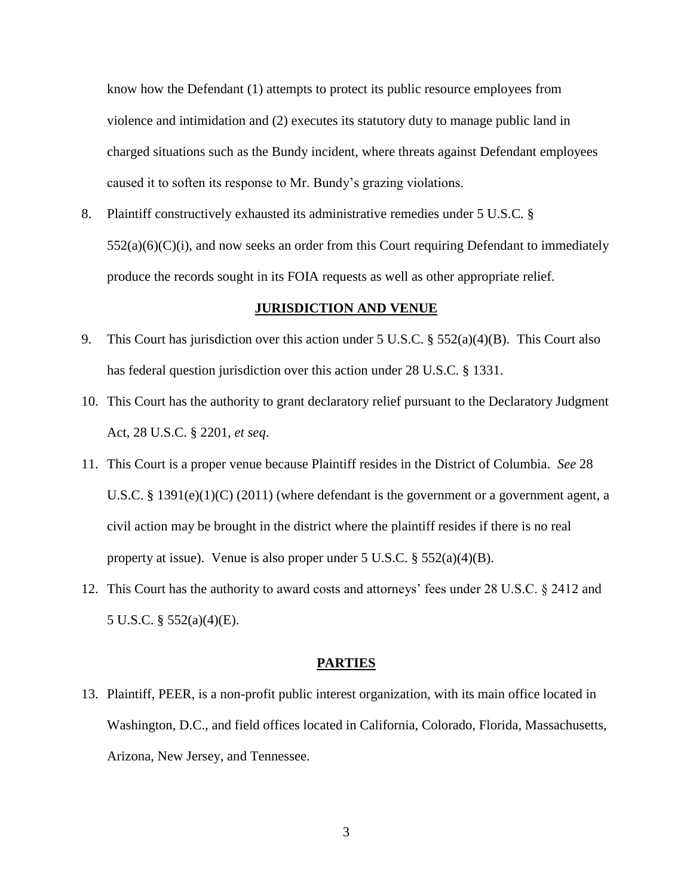know how the Defendant (1) attempts to protect its public resource employees from violence and intimidation and (2) executes its statutory duty to manage public land in charged situations such as the Bundy incident, where threats against Defendant employees caused it to soften its response to Mr. Bundy's grazing violations.

8. Plaintiff constructively exhausted its administrative remedies under 5 U.S.C. §  $552(a)(6)(C)(i)$ , and now seeks an order from this Court requiring Defendant to immediately produce the records sought in its FOIA requests as well as other appropriate relief.

### **JURISDICTION AND VENUE**

- 9. This Court has jurisdiction over this action under 5 U.S.C.  $\S 552(a)(4)(B)$ . This Court also has federal question jurisdiction over this action under 28 U.S.C. § 1331.
- 10. This Court has the authority to grant declaratory relief pursuant to the Declaratory Judgment Act, 28 U.S.C. § 2201, *et seq*.
- 11. This Court is a proper venue because Plaintiff resides in the District of Columbia. *See* 28 U.S.C. § 1391(e)(1)(C) (2011) (where defendant is the government or a government agent, a civil action may be brought in the district where the plaintiff resides if there is no real property at issue). Venue is also proper under 5 U.S.C. § 552(a)(4)(B).
- 12. This Court has the authority to award costs and attorneys' fees under 28 U.S.C. § 2412 and 5 U.S.C. § 552(a)(4)(E).

### **PARTIES**

13. Plaintiff, PEER, is a non-profit public interest organization, with its main office located in Washington, D.C., and field offices located in California, Colorado, Florida, Massachusetts, Arizona, New Jersey, and Tennessee.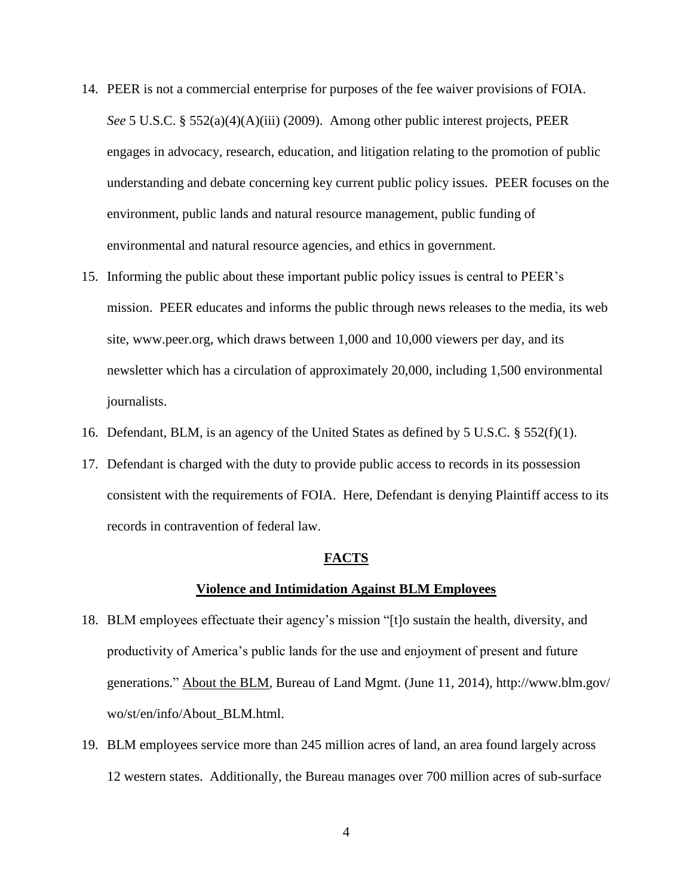- 14. PEER is not a commercial enterprise for purposes of the fee waiver provisions of FOIA. *See* 5 U.S.C. § 552(a)(4)(A)(iii) (2009). Among other public interest projects, PEER engages in advocacy, research, education, and litigation relating to the promotion of public understanding and debate concerning key current public policy issues. PEER focuses on the environment, public lands and natural resource management, public funding of environmental and natural resource agencies, and ethics in government.
- 15. Informing the public about these important public policy issues is central to PEER's mission. PEER educates and informs the public through news releases to the media, its web site, www.peer.org, which draws between 1,000 and 10,000 viewers per day, and its newsletter which has a circulation of approximately 20,000, including 1,500 environmental journalists.
- 16. Defendant, BLM, is an agency of the United States as defined by 5 U.S.C. § 552(f)(1).
- 17. Defendant is charged with the duty to provide public access to records in its possession consistent with the requirements of FOIA. Here, Defendant is denying Plaintiff access to its records in contravention of federal law.

#### **FACTS**

#### **Violence and Intimidation Against BLM Employees**

- 18. BLM employees effectuate their agency's mission "[t]o sustain the health, diversity, and productivity of America's public lands for the use and enjoyment of present and future generations." About the BLM, Bureau of Land Mgmt. (June 11, 2014), http://www.blm.gov/ wo/st/en/info/About\_BLM.html.
- 19. BLM employees service more than 245 million acres of land, an area found largely across 12 western states. Additionally, the Bureau manages over 700 million acres of sub-surface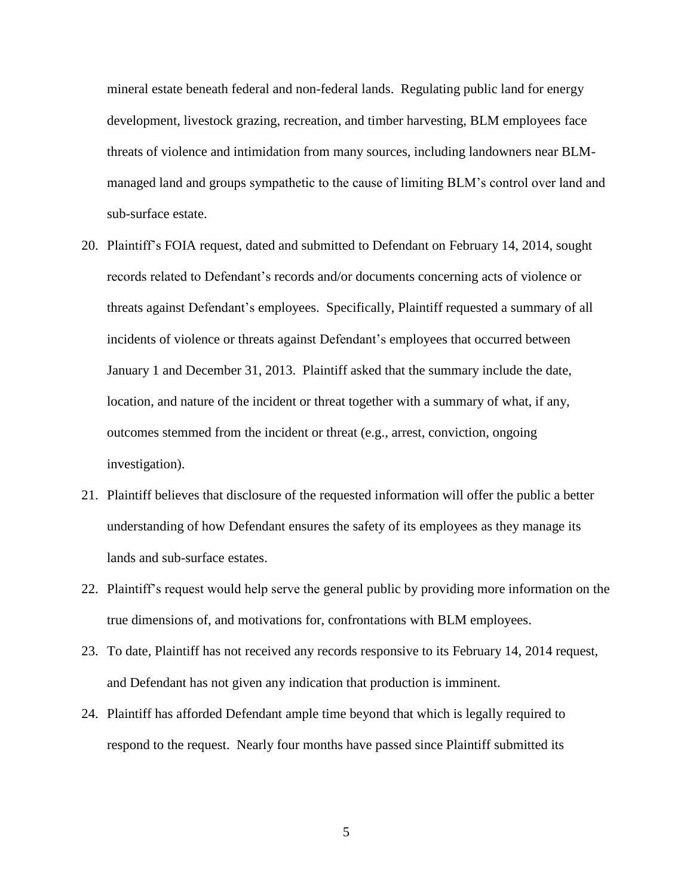mineral estate beneath federal and non-federal lands. Regulating public land for energy development, livestock grazing, recreation, and timber harvesting, BLM employees face threats of violence and intimidation from many sources, including landowners near BLMmanaged land and groups sympathetic to the cause of limiting BLM's control over land and sub-surface estate.

- 20. Plaintiff's FOIA request, dated and submitted to Defendant on February 14, 2014, sought records related to Defendant's records and/or documents concerning acts of violence or threats against Defendant's employees. Specifically, Plaintiff requested a summary of all incidents of violence or threats against Defendant's employees that occurred between January 1 and December 31, 2013. Plaintiff asked that the summary include the date, location, and nature of the incident or threat together with a summary of what, if any, outcomes stemmed from the incident or threat (e.g., arrest, conviction, ongoing investigation).
- 21. Plaintiff believes that disclosure of the requested information will offer the public a better understanding of how Defendant ensures the safety of its employees as they manage its lands and sub-surface estates.
- 22. Plaintiff's request would help serve the general public by providing more information on the true dimensions of, and motivations for, confrontations with BLM employees.
- 23. To date, Plaintiff has not received any records responsive to its February 14, 2014 request, and Defendant has not given any indication that production is imminent.
- 24. Plaintiff has afforded Defendant ample time beyond that which is legally required to respond to the request. Nearly four months have passed since Plaintiff submitted its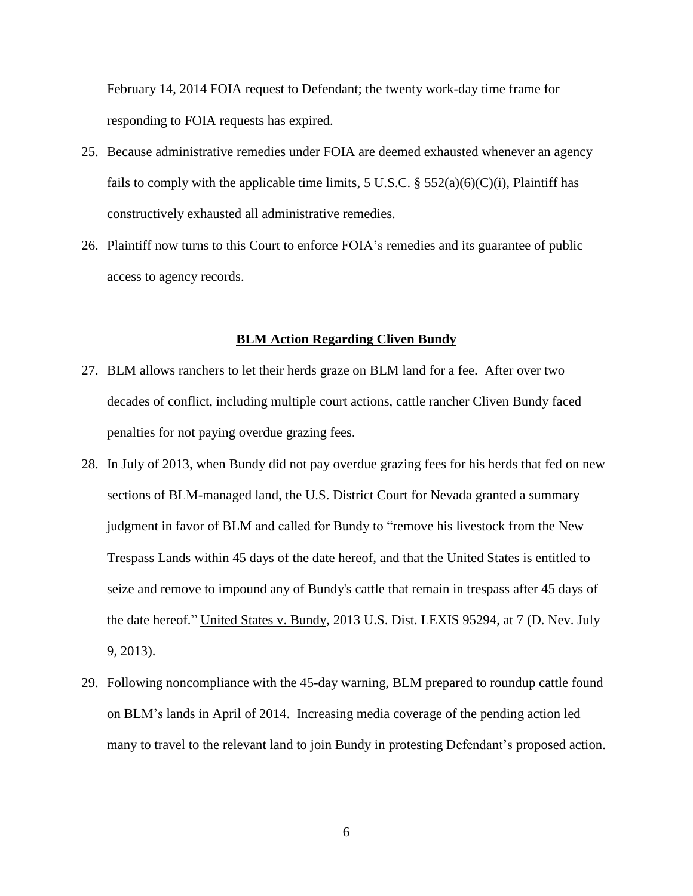February 14, 2014 FOIA request to Defendant; the twenty work-day time frame for responding to FOIA requests has expired.

- 25. Because administrative remedies under FOIA are deemed exhausted whenever an agency fails to comply with the applicable time limits, 5 U.S.C. § 552(a)(6)(C)(i), Plaintiff has constructively exhausted all administrative remedies.
- 26. Plaintiff now turns to this Court to enforce FOIA's remedies and its guarantee of public access to agency records.

#### **BLM Action Regarding Cliven Bundy**

- 27. BLM allows ranchers to let their herds graze on BLM land for a fee. After over two decades of conflict, including multiple court actions, cattle rancher Cliven Bundy faced penalties for not paying overdue grazing fees.
- 28. In July of 2013, when Bundy did not pay overdue grazing fees for his herds that fed on new sections of BLM-managed land, the U.S. District Court for Nevada granted a summary judgment in favor of BLM and called for Bundy to "remove his livestock from the New Trespass Lands within 45 days of the date hereof, and that the United States is entitled to seize and remove to impound any of Bundy's cattle that remain in trespass after 45 days of the date hereof." United States v. Bundy, 2013 U.S. Dist. LEXIS 95294, at 7 (D. Nev. July 9, 2013).
- 29. Following noncompliance with the 45-day warning, BLM prepared to roundup cattle found on BLM's lands in April of 2014. Increasing media coverage of the pending action led many to travel to the relevant land to join Bundy in protesting Defendant's proposed action.

6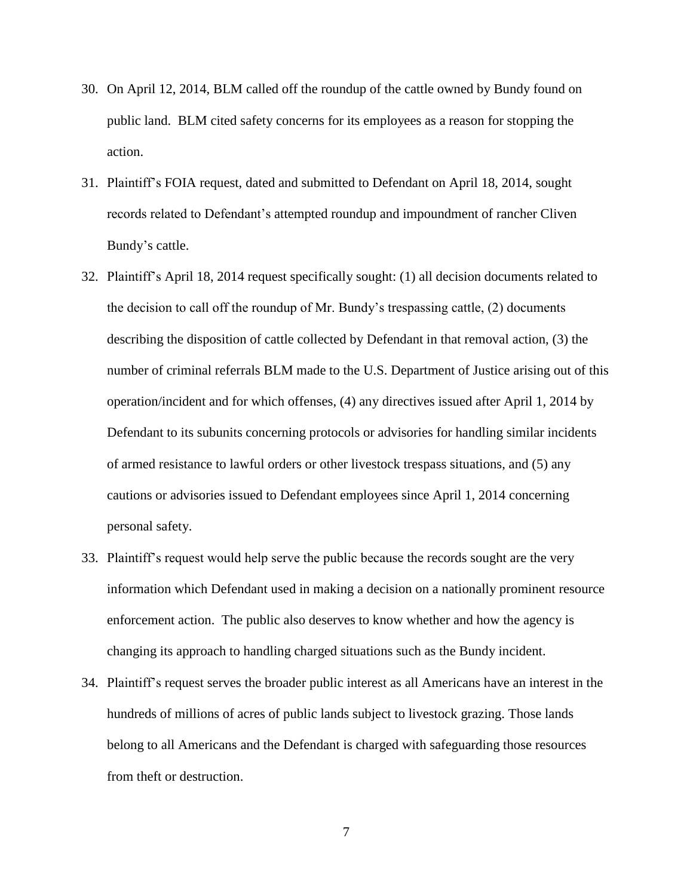- 30. On April 12, 2014, BLM called off the roundup of the cattle owned by Bundy found on public land. BLM cited safety concerns for its employees as a reason for stopping the action.
- 31. Plaintiff's FOIA request, dated and submitted to Defendant on April 18, 2014, sought records related to Defendant's attempted roundup and impoundment of rancher Cliven Bundy's cattle.
- 32. Plaintiff's April 18, 2014 request specifically sought: (1) all decision documents related to the decision to call off the roundup of Mr. Bundy's trespassing cattle, (2) documents describing the disposition of cattle collected by Defendant in that removal action, (3) the number of criminal referrals BLM made to the U.S. Department of Justice arising out of this operation/incident and for which offenses, (4) any directives issued after April 1, 2014 by Defendant to its subunits concerning protocols or advisories for handling similar incidents of armed resistance to lawful orders or other livestock trespass situations, and (5) any cautions or advisories issued to Defendant employees since April 1, 2014 concerning personal safety.
- 33. Plaintiff's request would help serve the public because the records sought are the very information which Defendant used in making a decision on a nationally prominent resource enforcement action. The public also deserves to know whether and how the agency is changing its approach to handling charged situations such as the Bundy incident.
- 34. Plaintiff's request serves the broader public interest as all Americans have an interest in the hundreds of millions of acres of public lands subject to livestock grazing. Those lands belong to all Americans and the Defendant is charged with safeguarding those resources from theft or destruction.

7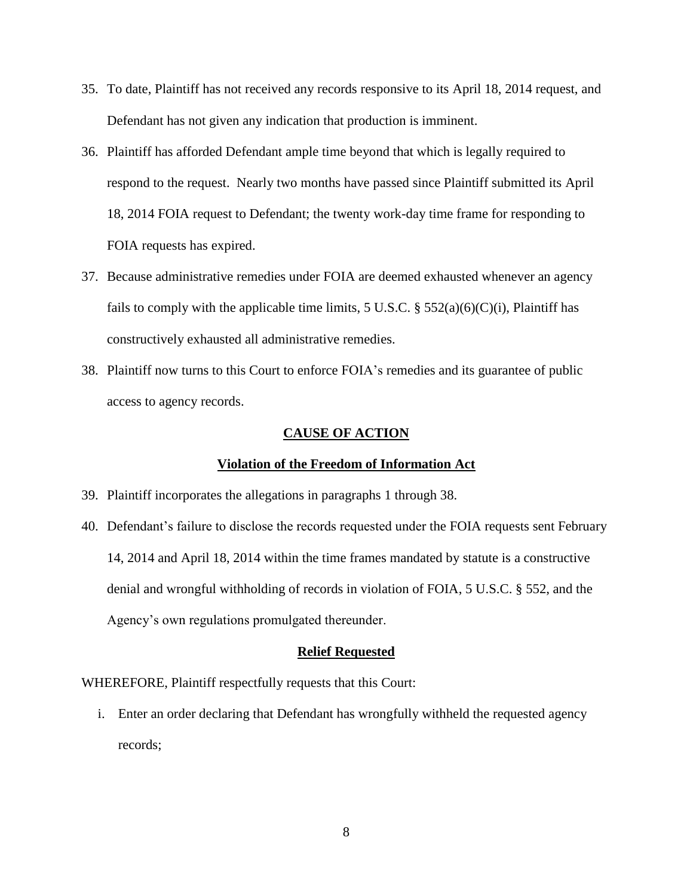- 35. To date, Plaintiff has not received any records responsive to its April 18, 2014 request, and Defendant has not given any indication that production is imminent.
- 36. Plaintiff has afforded Defendant ample time beyond that which is legally required to respond to the request. Nearly two months have passed since Plaintiff submitted its April 18, 2014 FOIA request to Defendant; the twenty work-day time frame for responding to FOIA requests has expired.
- 37. Because administrative remedies under FOIA are deemed exhausted whenever an agency fails to comply with the applicable time limits, 5 U.S.C. § 552(a)(6)(C)(i), Plaintiff has constructively exhausted all administrative remedies.
- 38. Plaintiff now turns to this Court to enforce FOIA's remedies and its guarantee of public access to agency records.

### **CAUSE OF ACTION**

## **Violation of the Freedom of Information Act**

- 39. Plaintiff incorporates the allegations in paragraphs 1 through 38.
- 40. Defendant's failure to disclose the records requested under the FOIA requests sent February 14, 2014 and April 18, 2014 within the time frames mandated by statute is a constructive denial and wrongful withholding of records in violation of FOIA, 5 U.S.C. § 552, and the Agency's own regulations promulgated thereunder.

### **Relief Requested**

WHEREFORE, Plaintiff respectfully requests that this Court:

i. Enter an order declaring that Defendant has wrongfully withheld the requested agency records;